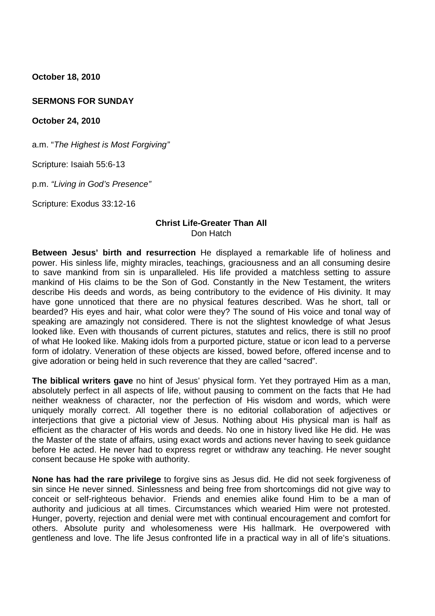**October 18, 2010**

# **SERMONS FOR SUNDAY**

**October 24, 2010**

a.m. "*The Highest is Most Forgiving"*

Scripture: Isaiah 55:6-13

p.m. *"Living in God's Presence"*

Scripture: Exodus 33:12-16

# **Christ Life-Greater Than All** Don Hatch

**Between Jesus' birth and resurrection** He displayed a remarkable life of holiness and power. His sinless life, mighty miracles, teachings, graciousness and an all consuming desire to save mankind from sin is unparalleled. His life provided a matchless setting to assure mankind of His claims to be the Son of God. Constantly in the New Testament, the writers describe His deeds and words, as being contributory to the evidence of His divinity. It may have gone unnoticed that there are no physical features described. Was he short, tall or bearded? His eyes and hair, what color were they? The sound of His voice and tonal way of speaking are amazingly not considered. There is not the slightest knowledge of what Jesus looked like. Even with thousands of current pictures, statutes and relics, there is still no proof of what He looked like. Making idols from a purported picture, statue or icon lead to a perverse form of idolatry. Veneration of these objects are kissed, bowed before, offered incense and to give adoration or being held in such reverence that they are called "sacred".

**The biblical writers gave** no hint of Jesus' physical form. Yet they portrayed Him as a man, absolutely perfect in all aspects of life, without pausing to comment on the facts that He had neither weakness of character, nor the perfection of His wisdom and words, which were uniquely morally correct. All together there is no editorial collaboration of adjectives or interjections that give a pictorial view of Jesus. Nothing about His physical man is half as efficient as the character of His words and deeds. No one in history lived like He did. He was the Master of the state of affairs, using exact words and actions never having to seek guidance before He acted. He never had to express regret or withdraw any teaching. He never sought consent because He spoke with authority.

**None has had the rare privilege** to forgive sins as Jesus did. He did not seek forgiveness of sin since He never sinned. Sinlessness and being free from shortcomings did not give way to conceit or self-righteous behavior. Friends and enemies alike found Him to be a man of authority and judicious at all times. Circumstances which wearied Him were not protested. Hunger, poverty, rejection and denial were met with continual encouragement and comfort for others. Absolute purity and wholesomeness were His hallmark. He overpowered with gentleness and love. The life Jesus confronted life in a practical way in all of life's situations.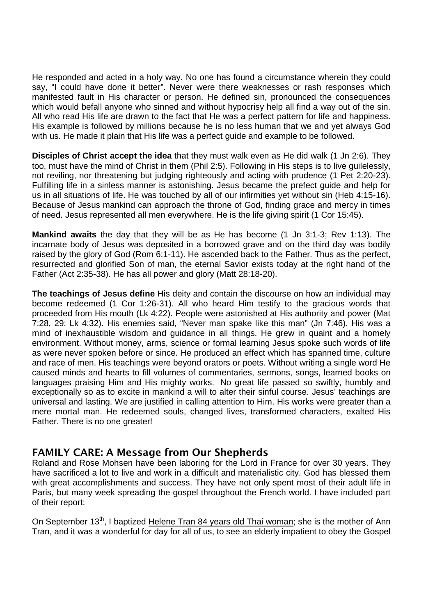He responded and acted in a holy way. No one has found a circumstance wherein they could say, "I could have done it better". Never were there weaknesses or rash responses which manifested fault in His character or person. He defined sin, pronounced the consequences which would befall anyone who sinned and without hypocrisy help all find a way out of the sin. All who read His life are drawn to the fact that He was a perfect pattern for life and happiness. His example is followed by millions because he is no less human that we and yet always God with us. He made it plain that His life was a perfect guide and example to be followed.

**Disciples of Christ accept the idea** that they must walk even as He did walk (1 Jn 2:6). They too, must have the mind of Christ in them (Phil 2:5). Following in His steps is to live guilelessly, not reviling, nor threatening but judging righteously and acting with prudence (1 Pet 2:20-23). Fulfilling life in a sinless manner is astonishing. Jesus became the prefect guide and help for us in all situations of life. He was touched by all of our infirmities yet without sin (Heb 4:15-16). Because of Jesus mankind can approach the throne of God, finding grace and mercy in times of need. Jesus represented all men everywhere. He is the life giving spirit (1 Cor 15:45).

**Mankind awaits** the day that they will be as He has become (1 Jn 3:1-3; Rev 1:13). The incarnate body of Jesus was deposited in a borrowed grave and on the third day was bodily raised by the glory of God (Rom 6:1-11). He ascended back to the Father. Thus as the perfect, resurrected and glorified Son of man, the eternal Savior exists today at the right hand of the Father (Act 2:35-38). He has all power and glory (Matt 28:18-20).

**The teachings of Jesus define** His deity and contain the discourse on how an individual may become redeemed (1 Cor 1:26-31). All who heard Him testify to the gracious words that proceeded from His mouth (Lk 4:22). People were astonished at His authority and power (Mat 7:28, 29; Lk 4:32). His enemies said, "Never man spake like this man" (Jn 7:46). His was a mind of inexhaustible wisdom and guidance in all things. He grew in quaint and a homely environment. Without money, arms, science or formal learning Jesus spoke such words of life as were never spoken before or since. He produced an effect which has spanned time, culture and race of men. His teachings were beyond orators or poets. Without writing a single word He caused minds and hearts to fill volumes of commentaries, sermons, songs, learned books on languages praising Him and His mighty works. No great life passed so swiftly, humbly and exceptionally so as to excite in mankind a will to alter their sinful course. Jesus' teachings are universal and lasting. We are justified in calling attention to Him. His works were greater than a mere mortal man. He redeemed souls, changed lives, transformed characters, exalted His Father. There is no one greater!

# **FAMILY CARE: A Message from Our Shepherds**

Roland and Rose Mohsen have been laboring for the Lord in France for over 30 years. They have sacrificed a lot to live and work in a difficult and materialistic city. God has blessed them with great accomplishments and success. They have not only spent most of their adult life in Paris, but many week spreading the gospel throughout the French world. I have included part of their report:

On September 13<sup>th</sup>, I baptized Helene Tran 84 years old Thai woman; she is the mother of Ann Tran, and it was a wonderful for day for all of us, to see an elderly impatient to obey the Gospel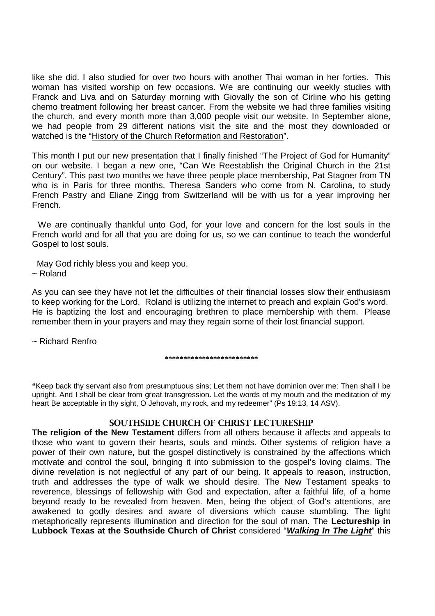like she did. I also studied for over two hours with another Thai woman in her forties. This woman has visited worship on few occasions. We are continuing our weekly studies with Franck and Liva and on Saturday morning with Giovally the son of Cirline who his getting chemo treatment following her breast cancer. From the website we had three families visiting the church, and every month more than 3,000 people visit our website. In September alone, we had people from 29 different nations visit the site and the most they downloaded or watched is the "History of the Church Reformation and Restoration".

This month I put our new presentation that I finally finished "The Project of God for Humanity" on our website. I began a new one, "Can We Reestablish the Original Church in the 21st Century". This past two months we have three people place membership, Pat Stagner from TN who is in Paris for three months, Theresa Sanders who come from N. Carolina, to study French Pastry and Eliane Zingg from Switzerland will be with us for a year improving her French.

We are continually thankful unto God, for your love and concern for the lost souls in the French world and for all that you are doing for us, so we can continue to teach the wonderful Gospel to lost souls.

May God richly bless you and keep you. ~ Roland

As you can see they have not let the difficulties of their financial losses slow their enthusiasm to keep working for the Lord. Roland is utilizing the internet to preach and explain God's word. He is baptizing the lost and encouraging brethren to place membership with them. Please remember them in your prayers and may they regain some of their lost financial support.

~ Richard Renfro

#### **\*\*\*\*\*\*\*\*\*\*\*\*\*\*\*\*\*\*\*\*\*\*\*\*\***

**"**Keep back thy servant also from presumptuous sins; Let them not have dominion over me: Then shall I be upright, And I shall be clear from great transgression. Let the words of my mouth and the meditation of my heart Be acceptable in thy sight, O Jehovah, my rock, and my redeemer" (Ps 19:13, 14 ASV).

# **SOUTHSIDE CHURCH OF CHRIST LECTURESHIP**

**The religion of the New Testament** differs from all others because it affects and appeals to those who want to govern their hearts, souls and minds. Other systems of religion have a power of their own nature, but the gospel distinctively is constrained by the affections which motivate and control the soul, bringing it into submission to the gospel's loving claims. The divine revelation is not neglectful of any part of our being. It appeals to reason, instruction, truth and addresses the type of walk we should desire. The New Testament speaks to reverence, blessings of fellowship with God and expectation, after a faithful life, of a home beyond ready to be revealed from heaven. Men, being the object of God's attentions, are awakened to godly desires and aware of diversions which cause stumbling. The light metaphorically represents illumination and direction for the soul of man. The **Lectureship in Lubbock Texas at the Southside Church of Christ** considered "*Walking In The Light*" this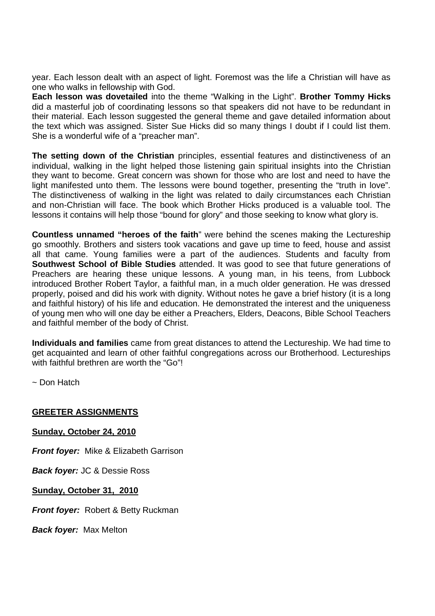year. Each lesson dealt with an aspect of light. Foremost was the life a Christian will have as one who walks in fellowship with God.

**Each lesson was dovetailed** into the theme "Walking in the Light". **Brother Tommy Hicks** did a masterful job of coordinating lessons so that speakers did not have to be redundant in their material. Each lesson suggested the general theme and gave detailed information about the text which was assigned. Sister Sue Hicks did so many things I doubt if I could list them. She is a wonderful wife of a "preacher man".

**The setting down of the Christian** principles, essential features and distinctiveness of an individual, walking in the light helped those listening gain spiritual insights into the Christian they want to become. Great concern was shown for those who are lost and need to have the light manifested unto them. The lessons were bound together, presenting the "truth in love". The distinctiveness of walking in the light was related to daily circumstances each Christian and non-Christian will face. The book which Brother Hicks produced is a valuable tool. The lessons it contains will help those "bound for glory" and those seeking to know what glory is.

**Countless unnamed "heroes of the faith**" were behind the scenes making the Lectureship go smoothly. Brothers and sisters took vacations and gave up time to feed, house and assist all that came. Young families were a part of the audiences. Students and faculty from **Southwest School of Bible Studies** attended. It was good to see that future generations of Preachers are hearing these unique lessons. A young man, in his teens, from Lubbock introduced Brother Robert Taylor, a faithful man, in a much older generation. He was dressed properly, poised and did his work with dignity. Without notes he gave a brief history (it is a long and faithful history) of his life and education. He demonstrated the interest and the uniqueness of young men who will one day be either a Preachers, Elders, Deacons, Bible School Teachers and faithful member of the body of Christ.

**Individuals and families** came from great distances to attend the Lectureship. We had time to get acquainted and learn of other faithful congregations across our Brotherhood. Lectureships with faithful brethren are worth the "Go"!

~ Don Hatch

# **GREETER ASSIGNMENTS**

**Sunday, October 24, 2010**

*Front foyer:* Mike & Elizabeth Garrison

*Back foyer:* JC & Dessie Ross

**Sunday, October 31, 2010**

*Front fover:* Robert & Betty Ruckman

*Back foyer:* Max Melton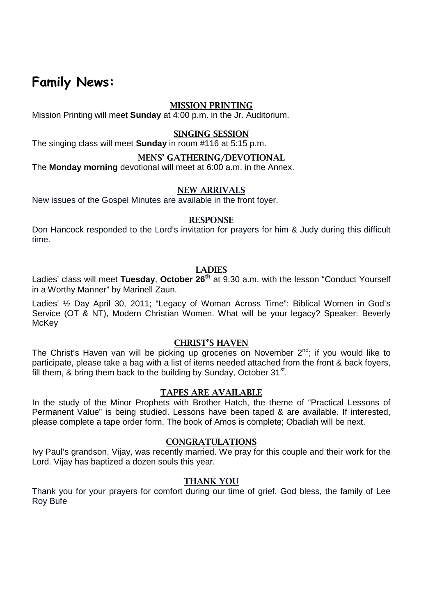# **Family News:**

# **MISSION PRINTING**

Mission Printing will meet **Sunday** at 4:00 p.m. in the Jr. Auditorium.

# **SINGING SESSION**

The singing class will meet **Sunday** in room #116 at 5:15 p.m.

# **MENS' GATHERING/DEVOTIONAL**

The **Monday morning** devotional will meet at 6:00 a.m. in the Annex.

# **NEW ARRIVALS**

New issues of the Gospel Minutes are available in the front foyer.

## **RESPONSE**

Don Hancock responded to the Lord's invitation for prayers for him & Judy during this difficult time.

# **LADIES**

Ladies' class will meet **Tuesday**, **October 26th** at 9:30 a.m. with the lesson "Conduct Yourself in a Worthy Manner" by Marinell Zaun.

Ladies' ½ Day April 30, 2011; "Legacy of Woman Across Time": Biblical Women in God's Service (OT & NT), Modern Christian Women. What will be your legacy? Speaker: Beverly **McKey** 

# **CHRIST'S HAVEN**

The Christ's Haven van will be picking up groceries on November  $2<sup>nd</sup>$ ; if you would like to participate, please take a bag with a list of items needed attached from the front & back foyers, fill them, & bring them back to the building by Sunday, October 31<sup>st</sup>.

# **TAPES ARE AVAILABLE**

In the study of the Minor Prophets with Brother Hatch, the theme of "Practical Lessons of Permanent Value" is being studied. Lessons have been taped & are available. If interested, please complete a tape order form. The book of Amos is complete; Obadiah will be next.

#### **CONGRATULATIONS**

Ivy Paul's grandson, Vijay, was recently married. We pray for this couple and their work for the Lord. Vijay has baptized a dozen souls this year.

# **THANK YOU**

Thank you for your prayers for comfort during our time of grief. God bless, the family of Lee Roy Bufe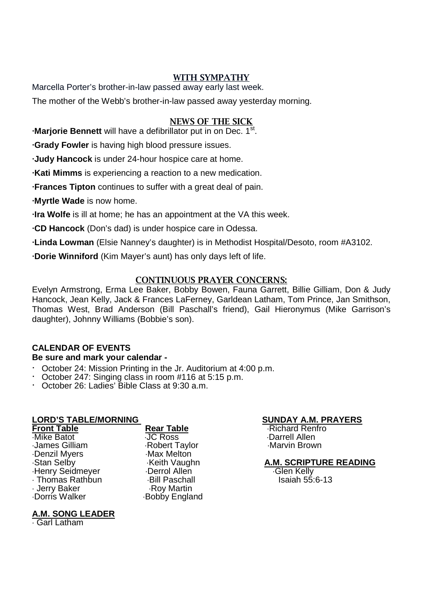# **WITH SYMPATHY**

Marcella Porter's brother-in-law passed away early last week.

The mother of the Webb's brother-in-law passed away yesterday morning.

# **NEWS OF THE SICK**

**∙Marjorie Bennett** will have a defibrillator put in on Dec. 1<sup>st</sup>.

**∙Grady Fowler** is having high blood pressure issues.

**∙Judy Hancock** is under 24-hour hospice care at home.

**∙Kati Mimms** is experiencing a reaction to a new medication.

**∙Frances Tipton** continues to suffer with a great deal of pain.

**∙Myrtle Wade** is now home.

**∙Ira Wolfe** is ill at home; he has an appointment at the VA this week.

**∙CD Hancock** (Don's dad) is under hospice care in Odessa.

**∙Linda Lowman** (Elsie Nanney's daughter) is in Methodist Hospital/Desoto, room #A3102.

**∙Dorie Winniford** (Kim Mayer's aunt) has only days left of life.

# **CONTINUOUS PRAYER CONCERNS:**

Evelyn Armstrong, Erma Lee Baker, Bobby Bowen, Fauna Garrett, Billie Gilliam, Don & Judy Hancock, Jean Kelly, Jack & Frances LaFerney, Garldean Latham, Tom Prince, Jan Smithson, Thomas West, Brad Anderson (Bill Paschall's friend), Gail Hieronymus (Mike Garrison's daughter), Johnny Williams (Bobbie's son).

# **CALENDAR OF EVENTS**

# **Be sure and mark your calendar -**

- · October 24: Mission Printing in the Jr. Auditorium at 4:00 p.m.
- October 247: Singing class in room #116 at 5:15 p.m.
- · October 26: Ladies' Bible Class at 9:30 a.m.

# **LORD'S TABLE/MORNING SUNDAY A.M. PRAYERS**

James Gilliam Robert Taylor Marvin Brown Denzil Myers<br>
Stan Selby Max Melton<br>
Max Melton Max Melton Marghn Henry Seidmeyer Cherrol Allen Glen Glen Kelly<br>Thomas Rathbun Glil Paschall Glen Glen Kelly Staiah 55:6-13 Thomas Rathbun Bill Paschall Isaiah 55:6-13 · Jerry Baker<br>·Dorris Walker

JC Ross Darrell Allen

 $-Bobby$  England

**Front Table Rear Table Rear Table** Richard Renfro<br> **Richard Renfront Contract Rentro**<br> **Richard Renfront Rear Table** 

# Keith Vaughn **A.M. SCRIPTURE READING**<br>Derrol Allen **Contain Communist Contains Contains Contain**

**A.M. SONG LEADER**

Garl Latham